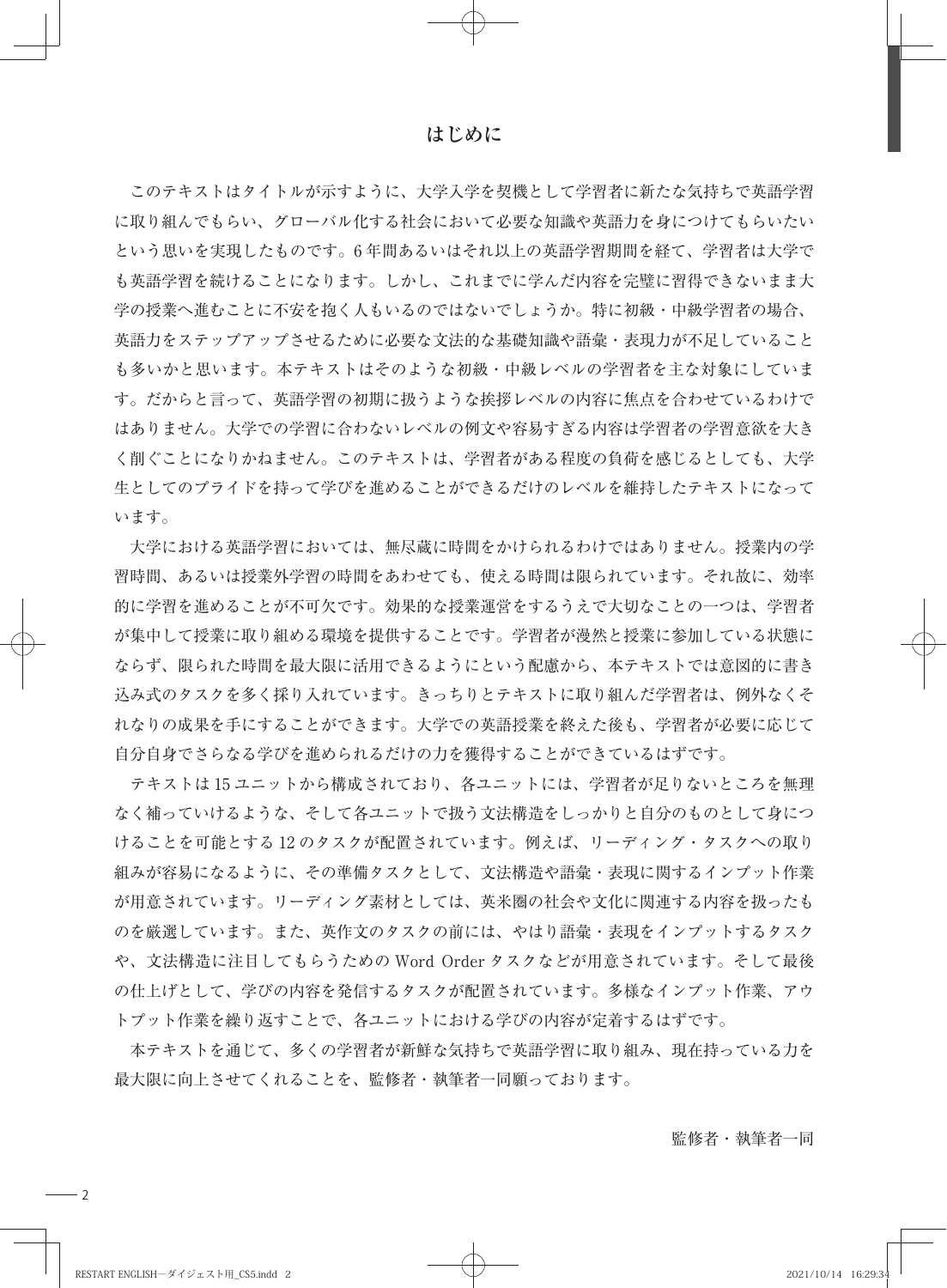**はじめに**

 このテキストはタイトルが示すように、大学入学を契機として学習者に新たな気持ちで英語学習 に取り組んでもらい、グローバル化する社会において必要な知識や英語力を身につけてもらいたい という思いを実現したものです。6 年間あるいはそれ以上の英語学習期間を経て、学習者は大学で も英語学習を続けることになります。しかし、これまでに学んだ内容を完璧に習得できないまま大 学の授業へ進むことに不安を抱く人もいるのではないでしょうか。特に初級・中級学習者の場合、 英語力をステップアップさせるために必要な文法的な基礎知識や語彙・表現力が不足していること も多いかと思います。本テキストはそのような初級・中級レベルの学習者を主な対象にしていま す。だからと言って、英語学習の初期に扱うような挨拶レベルの内容に焦点を合わせているわけで はありません。大学での学習に合わないレベルの例文や容易すぎる内容は学習者の学習意欲を大き く削ぐことになりかねません。このテキストは、学習者がある程度の負荷を感じるとしても、大学 生としてのプライドを持って学びを進めることができるだけのレベルを維持したテキストになって います。

 大学における英語学習においては、無尽蔵に時間をかけられるわけではありません。授業内の学 習時間、あるいは授業外学習の時間をあわせても、使える時間は限られています。それ故に、効率 的に学習を進めることが不可欠です。効果的な授業運営をするうえで大切なことの一つは、学習者 が集中して授業に取り組める環境を提供することです。学習者が漫然と授業に参加している状態に ならず、限られた時間を最大限に活用できるようにという配慮から、本テキストでは意図的に書き 込み式のタスクを多く採り入れています。きっちりとテキストに取り組んだ学習者は、例外なくそ れなりの成果を手にすることができます。大学での英語授業を終えた後も、学習者が必要に応じて 自分自身でさらなる学びを進められるだけの力を獲得することができているはずです。

 テキストは 15 ユニットから構成されており、各ユニットには、学習者が足りないところを無理 なく補っていけるような、そして各ユニットで扱う文法構造をしっかりと自分のものとして身につ けることを可能とする 12 のタスクが配置されています。例えば、リーディング・タスクへの取り 組みが容易になるように、その準備タスクとして、文法構造や語彙・表現に関するインプット作業 が用意されています。リーディング素材としては、英米圏の社会や文化に関連する内容を扱ったも のを厳選しています。また、英作文のタスクの前には、やはり語彙・表現をインプットするタスク や、文法構造に注目してもらうための Word Order タスクなどが用意されています。そして最後 の仕上げとして、学びの内容を発信するタスクが配置されています。多様なインプット作業、アウ トプット作業を繰り返すことで、各ユニットにおける学びの内容が定着するはずです。

 本テキストを通じて、多くの学習者が新鮮な気持ちで英語学習に取り組み、現在持っている力を 最大限に向上させてくれることを、監修者・執筆者一同願っております。

監修者・執筆者一同

 $-2$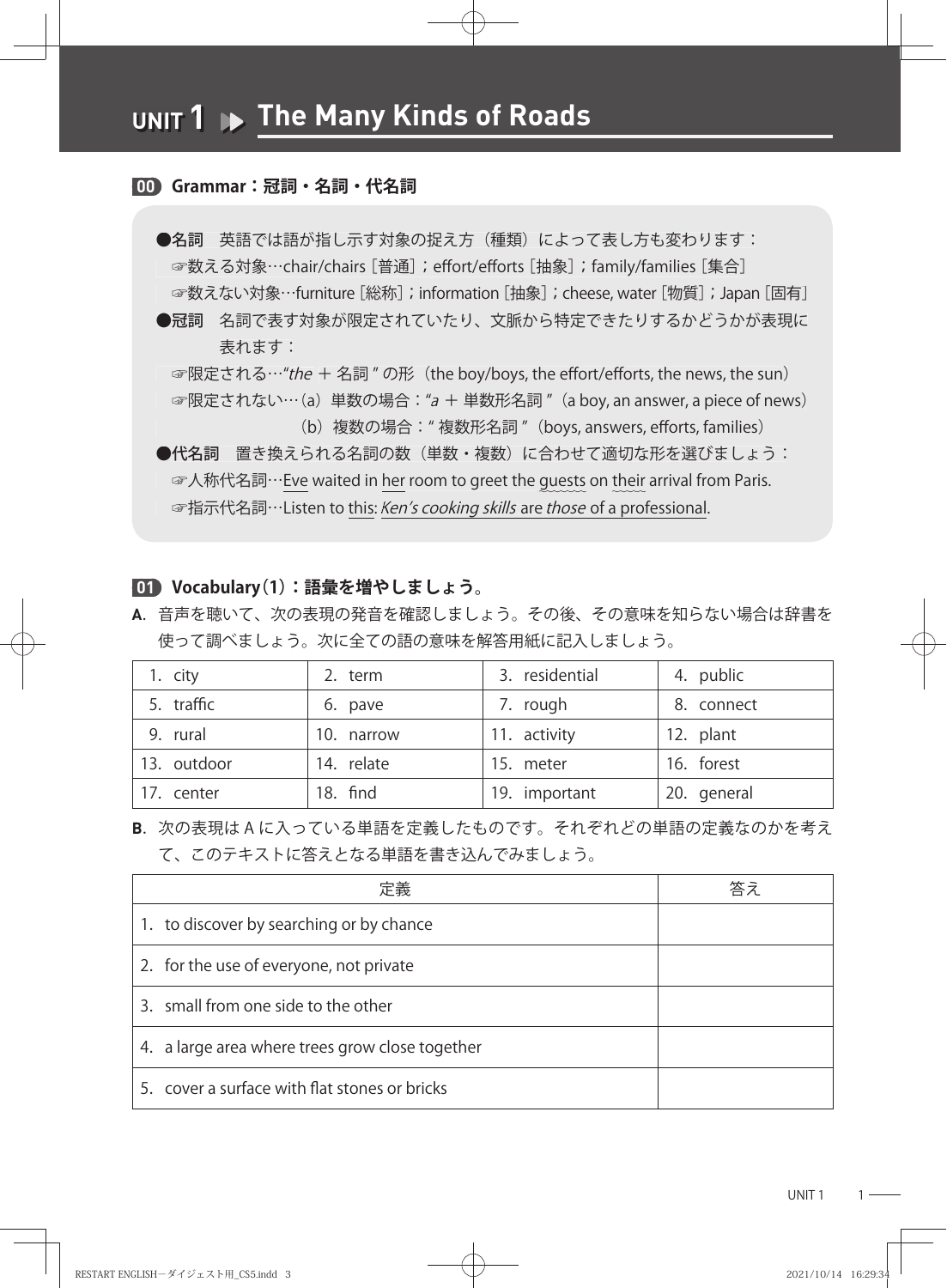#### **00 Grammar:冠詞・名詞・代名詞**

- ●名詞 英語では語が指し示す対象の捉え方(種類)によって表し方も変わります: ☞数える対象…chair/chairs [普通]; effort/efforts [抽象]; family/families [集合] ☞数えない対象…furniture [総称];information [抽象]; cheese, water [物質];Japan [固有] ☞指示代名詞…Listen this:are professional.**UNIT 1 The Many Kinds of Roads** 
	- ●冠詞 名詞で表す対象が限定されていたり、文脈から特定できたりするかどうかが表現に 表れます: ☞数える対象…Chair/chairs [晋通];effort/efforts [抽象];tamily/tamilies [集合]<br>◎数えない対象…furniture [総称];information [抽象];cheese, water [物質];Japan [固有<br>●冠詞 名詞で表す対象が限定されていたり、文脈から特定できたりするかどうかが表現に<br>※限定される…*"the* + 名詞 " の形(the boy/boys, the

☞限定されない…(a)里数の場合:"*a* + 里数形名詞 ″(a boy, an answer, a piece of news)<br>(b)複数の場合:" 複数形名詞 ″(boys, answers, efforts, families)

(b) 複数の場合: "複数形名詞" (boys, answers, efforts, families)

●代名詞 置き換えられる名詞の数(単数・複数)に合わせて適切な形を選びましょう: ●代名詞 置き換えられる名詞の数(里数・複数)に合わせて適切な形を選ひましょっ:<br>- ☞人称代名詞…<u>Eve</u> waited in <u>her</u> room to greet the guests on their arrival from Paris. ☞指示代名詞…Listen to this: Ken's cooking skills are those of a professional.

#### **01 Vocabulary(1):語彙を増やしましょう。**

**A**. 音声を聴いて、次の表現の発音を確認しましょう。その後、その意味を知らない場合は辞書を 使って調べましょう。次に全ての語の意味を解答用紙に記入しましょう。

| 1. city     | 2. term    | 3. residential | 4. public   |
|-------------|------------|----------------|-------------|
| 5. traffic  | 6. pave    | 7. rough       | 8. connect  |
| 9. rural    | 10. narrow | 11. activity   | 12. plant   |
| 13. outdoor | 14. relate | 15. meter      | 16. forest  |
| 17. center  | 18. find   | 19. important  | 20. general |

**B**. 次の表現は A に入っている単語を定義したものです。それぞれどの単語の定義なのかを考え て、このテキストに答えとなる単語を書き込んでみましょう。

| 定義                                              | 答え |
|-------------------------------------------------|----|
| 1. to discover by searching or by chance        |    |
| 2. for the use of everyone, not private         |    |
| 3. small from one side to the other             |    |
| 4. a large area where trees grow close together |    |
| 5. cover a surface with flat stones or bricks   |    |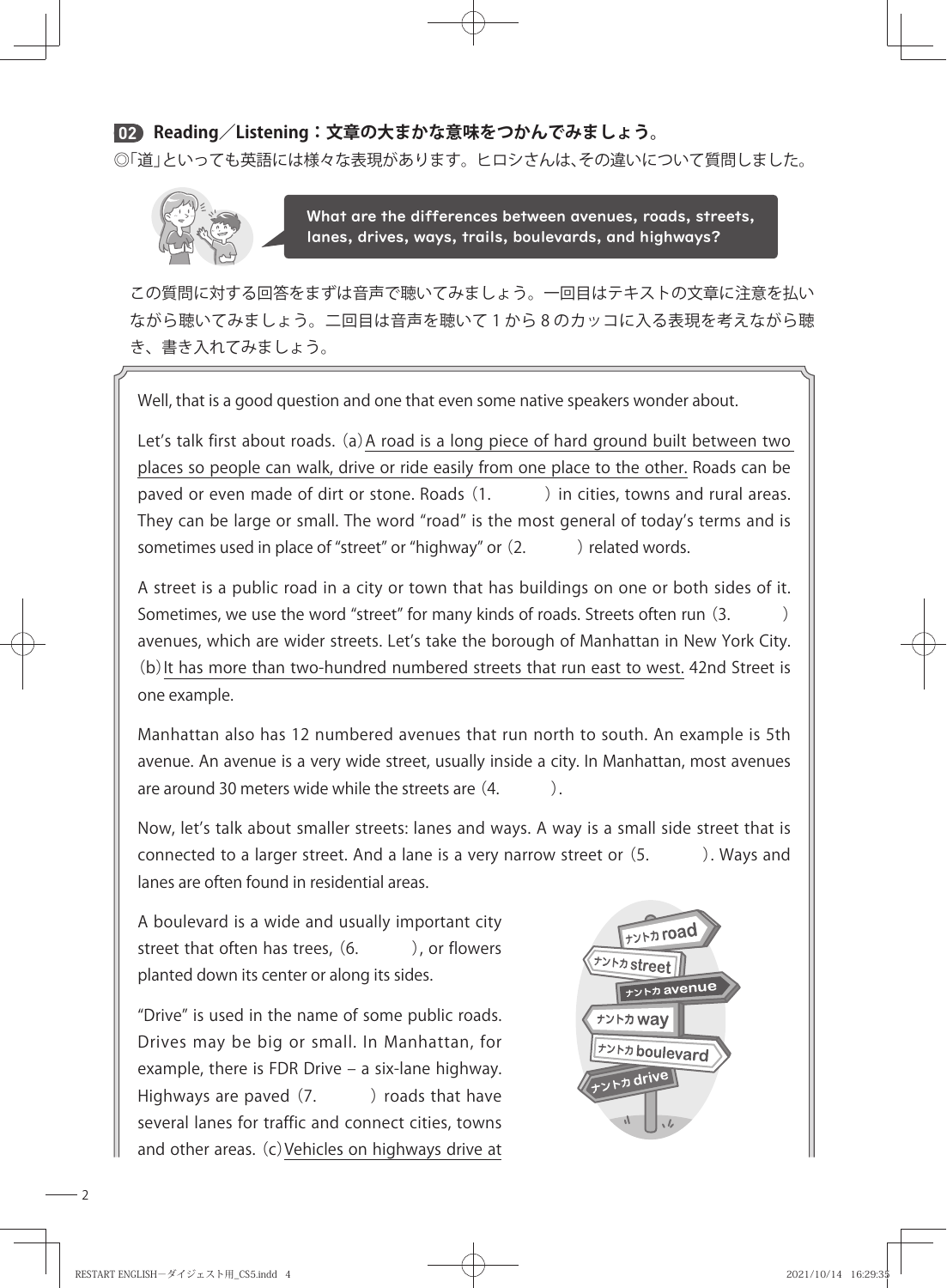## **02 Reading/Listening:文章の大まかな意味をつかんでみましょう。**

◎「道」といっても英語には様々な表現があります。ヒロシさんは、その違いについて質問しました。



 $⊌$ What are the differences between avenues, roads, streets, lanes, drives, ways, trails, boulevards, and highways?

 この質問に対する回答をまずは音声で聴いてみましょう。一回目はテキストの文章に注意を払い ながら聴いてみましょう。二回目は音声を聴いて 1 から 8 のカッコに入る表現を考えながら聴 き、書き入れてみましょう。

Well, that is a good question and one that even some native speakers wonder about.

Let's talk first about roads. (a) A road is a long piece of hard ground built between two places so people can walk, drive or ride easily from one place to the other. Roads can be paved or even made of dirt or stone. Roads (1.  $\qquad$  ) in cities, towns and rural areas. They can be large or small. The word "road" is the most general of today's terms and is sometimes used in place of "street" or "highway" or  $(2.$  ) related words.

A street is a public road in a city or town that has buildings on one or both sides of it. Sometimes, we use the word "street" for many kinds of roads. Streets often run (3.  $\qquad)$ avenues, which are wider streets. Let's take the borough of Manhattan in New York City. (b)It has more than two-hundred numbered streets that run east to west. 42nd Street is one example.

Manhattan also has 12 numbered avenues that run north to south. An example is 5th avenue. An avenue is a very wide street, usually inside a city. In Manhattan, most avenues are around 30 meters wide while the streets are  $(4. \qquad \qquad ).$ 

Now, let's talk about smaller streets: lanes and ways. A way is a small side street that is connected to a larger street. And a lane is a very narrow street or  $(5.$   $)$ . Ways and lanes are often found in residential areas.

A boulevard is a wide and usually important city street that often has trees,  $(6.$   $)$ , or flowers planted down its center or along its sides.

"Drive" is used in the name of some public roads. Drives may be big or small. In Manhattan, for example, there is FDR Drive  $-$  a six-lane highway. Highways are paved  $(7.$  ) roads that have several lanes for traffic and connect cities, towns and other areas. (c)Vehicles on highways drive at



 $-2$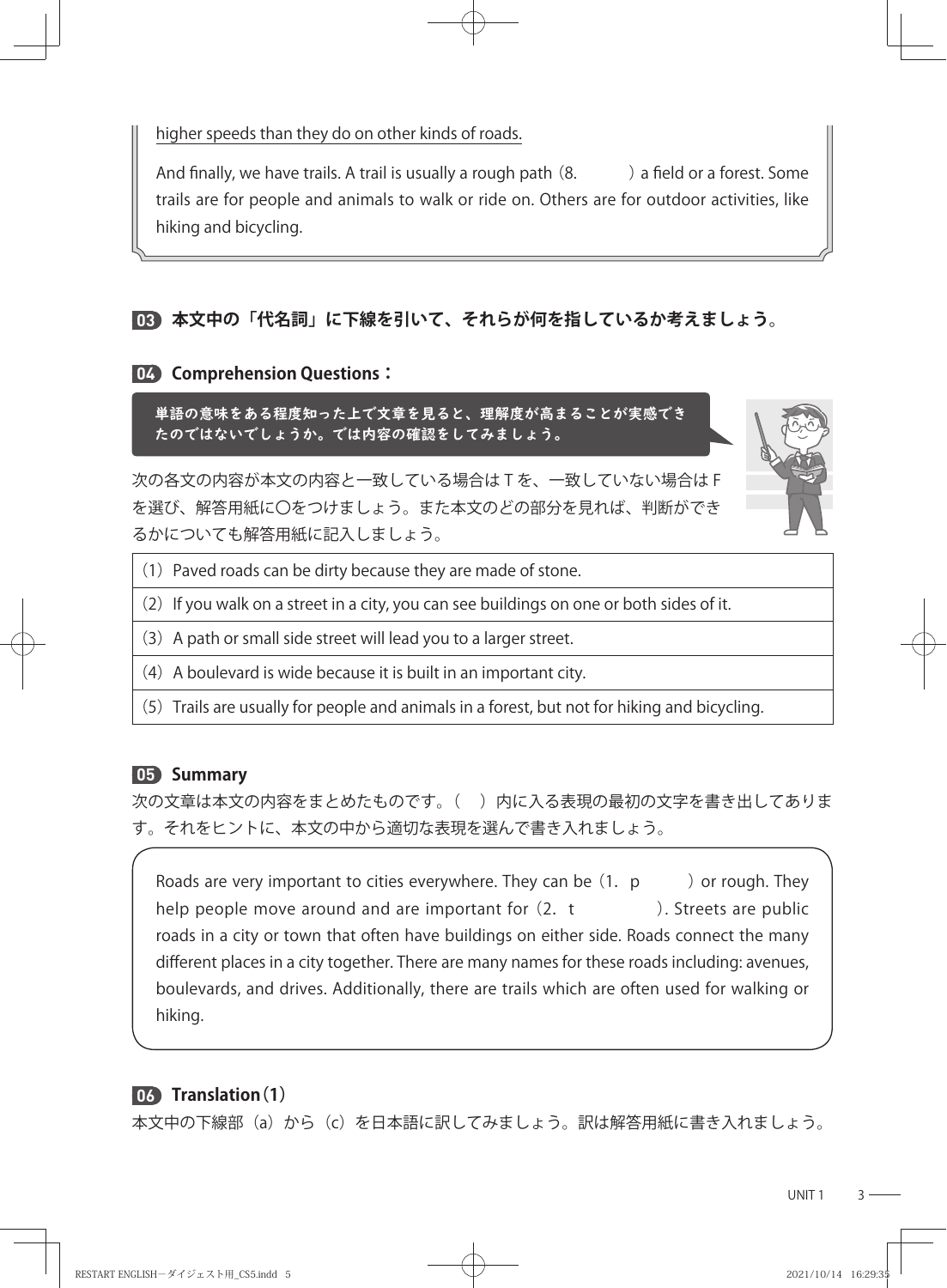higher speeds than they do on other kinds of roads.

And finally, we have trails. A trail is usually a rough path  $(8.$  a field or a forest. Some trails are for people and animals to walk or ride on. Others are for outdoor activities, like hiking and bicycling.

# **03 本文中の「代名詞」に下線を引いて、それらが何を指しているか考えましょう。**

#### **04 Comprehension Questions:**

単語の意味をある程度知った上で文章を見ると、理解度が高まることが実感でき たのではないでしょうか。では内容の確認をしてみましょう。

次の各文の内容が本文の内容と一致している場合は T を、一致していない場合は F を選び、解答用紙に〇をつけましょう。また本文のどの部分を見れば、判断ができ るかについても解答用紙に記入しましょう。



- $(1)$  Paved roads can be dirty because they are made of stone.
- $(2)$  If you walk on a street in a city, you can see buildings on one or both sides of it.
- (3) A path or small side street will lead you to a larger street.
- $(4)$  A boulevard is wide because it is built in an important city.
- (5)Trails are usually for people and animals in a forest, but not for hiking and bicycling.

## **05 Summary**

次の文章は本文の内容をまとめたものです。()内に入る表現の最初の文字を書き出してありま す。それをヒントに、本文の中から適切な表現を選んで書き入れましょう。

Roads are very important to cities everywhere. They can be  $(1, p \cdot \cdot)$  or rough. They help people move around and are important for  $(2, t)$   $\rightarrow$  Streets are public roads in a city or town that often have buildings on either side. Roads connect the many different places in a city together. There are many names for these roads including: avenues, boulevards, and drives. Additionally, there are trails which are often used for walking or hiking.

# **06 Translation(1)**

本文中の下線部(a)から(c)を日本語に訳してみましょう。訳は解答用紙に書き入れましょう。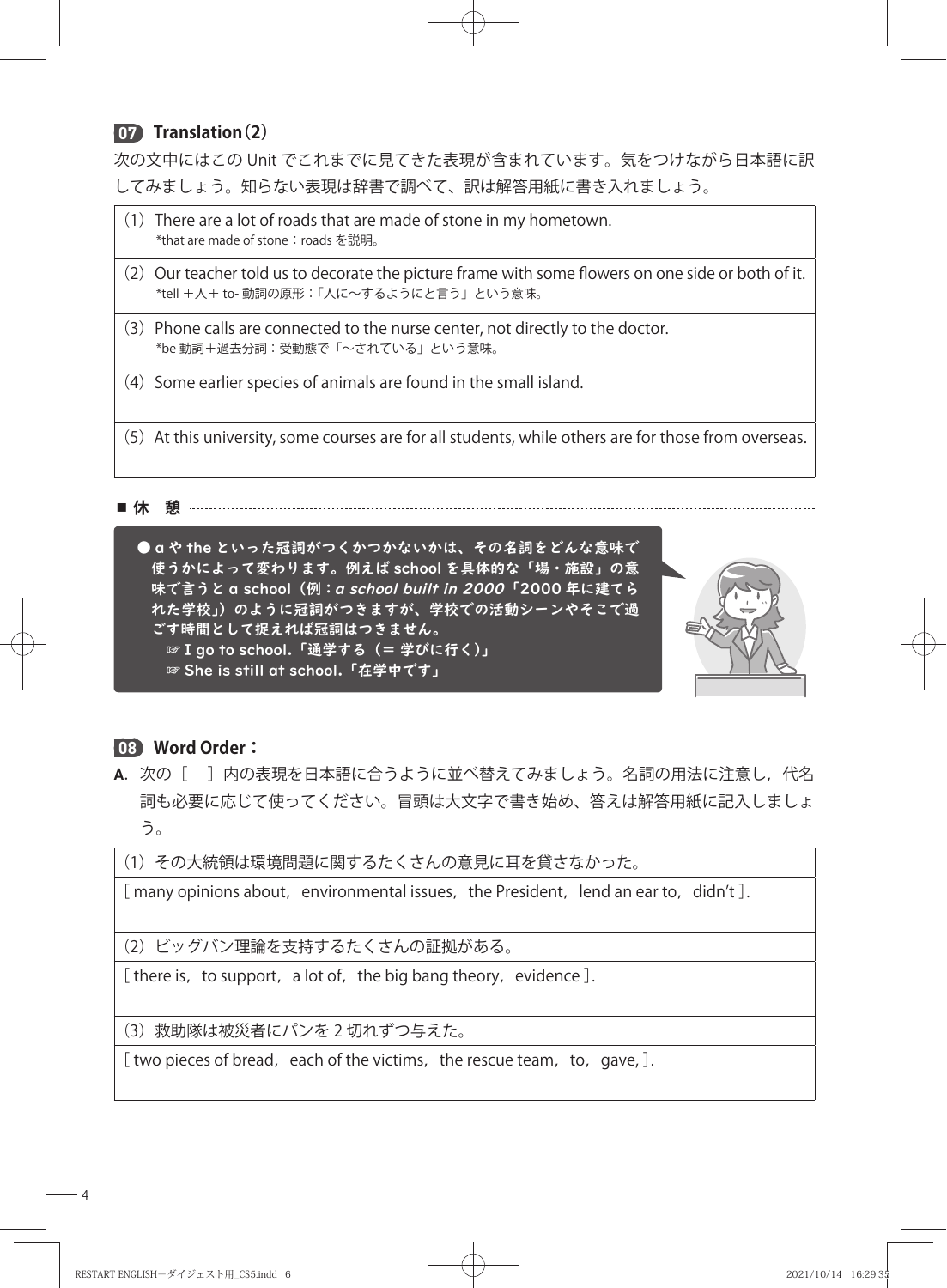# **07 Translation(2)**

次の文中にはこの Unit でこれまでに見てきた表現が含まれています。気をつけながら日本語に訳 してみましょう。知らない表現は辞書で調べて、訳は解答用紙に書き入れましょう。

- $(1)$  There are a lot of roads that are made of stone in my hometown. \*that are made of stone: roads を説明。
- $(2)$  Our teacher told us to decorate the picture frame with some flowers on one side or both of it. \*tell +人+ to- 動詞の原形:「人に~するようにと言う」という意味。
- (3)Phone calls are connected to the nurse center, not directly to the doctor. \*be 動詞+過去分詞:受動態で「~されている」という意味。
- $(4)$  Some earlier species of animals are found in the small island.
- (5) At this university, some courses are for all students, while others are for those from overseas.

■ 休 憩 ························



# **08 Word Order:**

A. 次の [ ] 内の表現を日本語に合うように並べ替えてみましょう。名詞の用法に注意し,代名 詞も必要に応じて使ってください。冒頭は大文字で書き始め、答えは解答用紙に記入しましょ う。

(1)その大統領は環境問題に関するたくさんの意見に耳を貸さなかった。

[ many opinions about, environmental issues, the President, lend an ear to, didn't ].

(2)ビッグバン理論を支持するたくさんの証拠がある。

[ there is, to support, a lot of, the big bang theory, evidence ].

(3)救助隊は被災者にパンを 2 切れずつ与えた。

[ two pieces of bread, each of the victims, the rescue team, to, gave,  $]$ .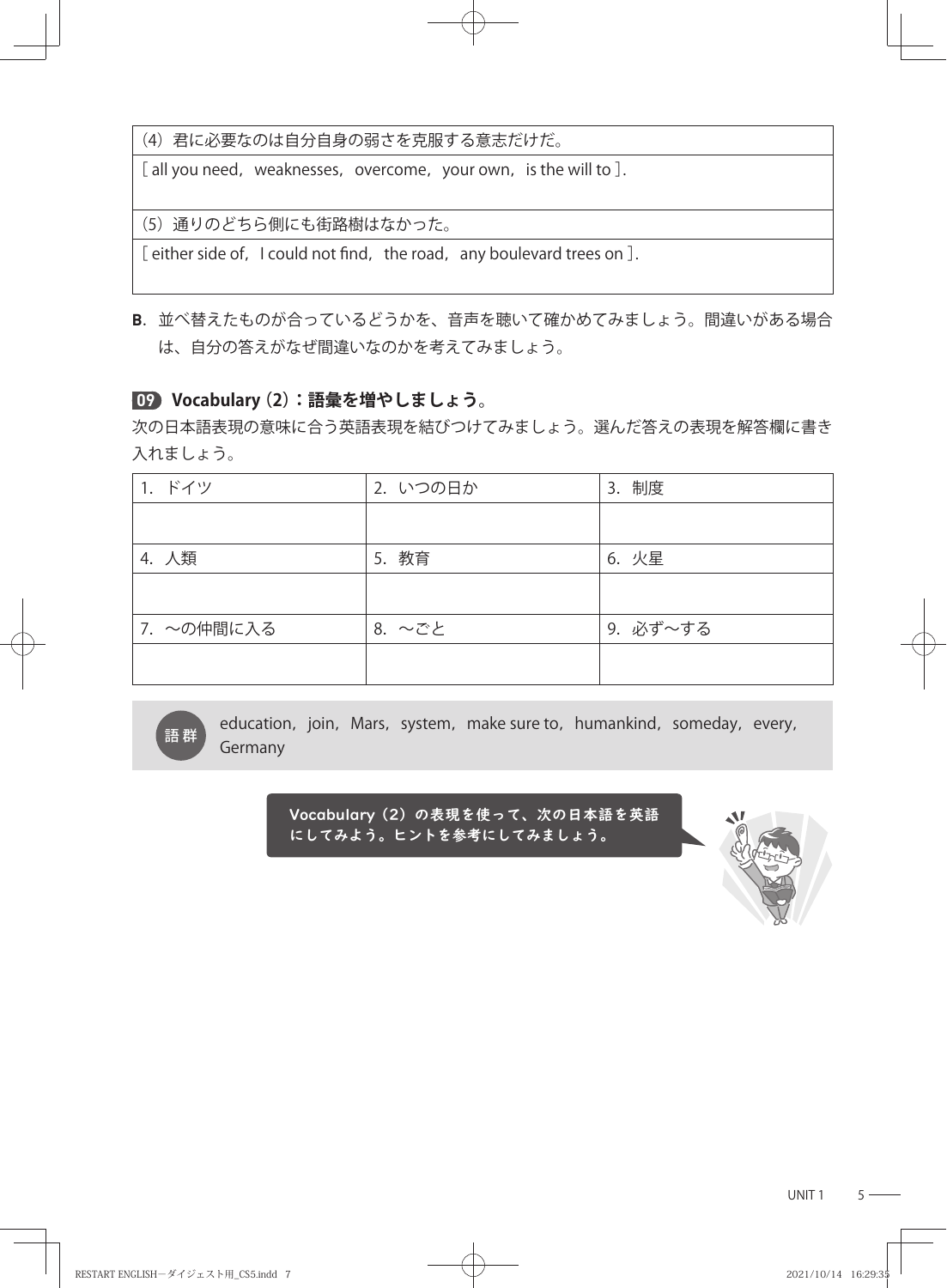(4)君に必要なのは自分自身の弱さを克服する意志だけだ。

[ all you need, weaknesses, overcome, your own, is the will to ].

(5)通りのどちら側にも街路樹はなかった。

[ either side of, I could not find, the road, any boulevard trees on  $]$ .

**B**. 並べ替えたものが合っているどうかを、音声を聴いて確かめてみましょう。間違いがある場合 は、自分の答えがなぜ間違いなのかを考えてみましょう。

## **09 Vocabulary (2):語彙を増やしましょう。**

次の日本語表現の意味に合う英語表現を結びつけてみましょう。選んだ答えの表現を解答欄に書き 入れましょう。

| 1. ドイツ     | 2. いつの日か | 3. 制度    |
|------------|----------|----------|
|            |          |          |
| 4. 人類      | 教育<br>5. | 6. 火星    |
|            |          |          |
| 7. ~の仲間に入る | 8. ~ごと   | 9. 必ず~する |
|            |          |          |

education, join, Mars, system, make sure to, humankind, someday, every, 語群<br>Germany

> <mark>√ocab</mark>ulary (2) の表現を使って、次の日本語を英語 にしてみよう。ヒントを参考にしてみましょう。



UNIT  $1$   $5 -$